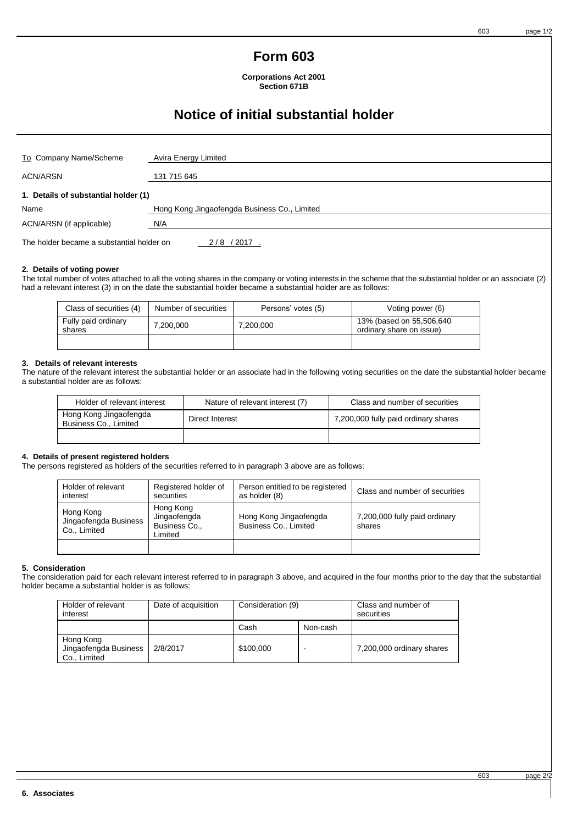603 page 1/2

## **Form 603**

**Corporations Act 2001 Section 671B**

# **Notice of initial substantial holder**

| To Company Name/Scheme               | Avira Energy Limited                         |  |
|--------------------------------------|----------------------------------------------|--|
| <b>ACN/ARSN</b>                      | 131 715 645                                  |  |
| 1. Details of substantial holder (1) |                                              |  |
| Name                                 | Hong Kong Jingaofengda Business Co., Limited |  |
| ACN/ARSN (if applicable)             | N/A                                          |  |
|                                      |                                              |  |

The holder became a substantial holder on 2/8 / 2017

### **2. Details of voting power**

The total number of votes attached to all the voting shares in the company or voting interests in the scheme that the substantial holder or an associate (2) had a relevant interest (3) in on the date the substantial holder became a substantial holder are as follows:

| Class of securities (4)       | Number of securities | Persons' votes (5) | Voting power (6)                                     |
|-------------------------------|----------------------|--------------------|------------------------------------------------------|
| Fully paid ordinary<br>shares | 7,200,000            | 7,200,000          | 13% (based on 55,506,640<br>ordinary share on issue) |
|                               |                      |                    |                                                      |

## **3. Details of relevant interests**

The nature of the relevant interest the substantial holder or an associate had in the following voting securities on the date the substantial holder became a substantial holder are as follows:

| Holder of relevant interest                     | Nature of relevant interest (7) | Class and number of securities       |
|-------------------------------------------------|---------------------------------|--------------------------------------|
| Hong Kong Jingaofengda<br>Business Co., Limited | Direct Interest                 | 7,200,000 fully paid ordinary shares |
|                                                 |                                 |                                      |

## **4. Details of present registered holders**

The persons registered as holders of the securities referred to in paragraph 3 above are as follows:

| Holder of relevant<br>interest                     | Registered holder of<br>securities                    | Person entitled to be registered<br>as holder (8) | Class and number of securities          |
|----------------------------------------------------|-------------------------------------------------------|---------------------------------------------------|-----------------------------------------|
| Hong Kong<br>Jingaofengda Business<br>Co., Limited | Hong Kong<br>Jingaofengda<br>Business Co.,<br>Limited | Hong Kong Jingaofengda<br>Business Co., Limited   | 7,200,000 fully paid ordinary<br>shares |
|                                                    |                                                       |                                                   |                                         |

### **5. Consideration**

The consideration paid for each relevant interest referred to in paragraph 3 above, and acquired in the four months prior to the day that the substantial holder became a substantial holder is as follows:

| Holder of relevant<br>interest                     | Date of acquisition | Consideration (9) |          | Class and number of<br>securities |
|----------------------------------------------------|---------------------|-------------------|----------|-----------------------------------|
|                                                    |                     | Cash              | Non-cash |                                   |
| Hong Kong<br>Jingaofengda Business<br>Co., Limited | 2/8/2017            | \$100,000         |          | 7,200,000 ordinary shares         |